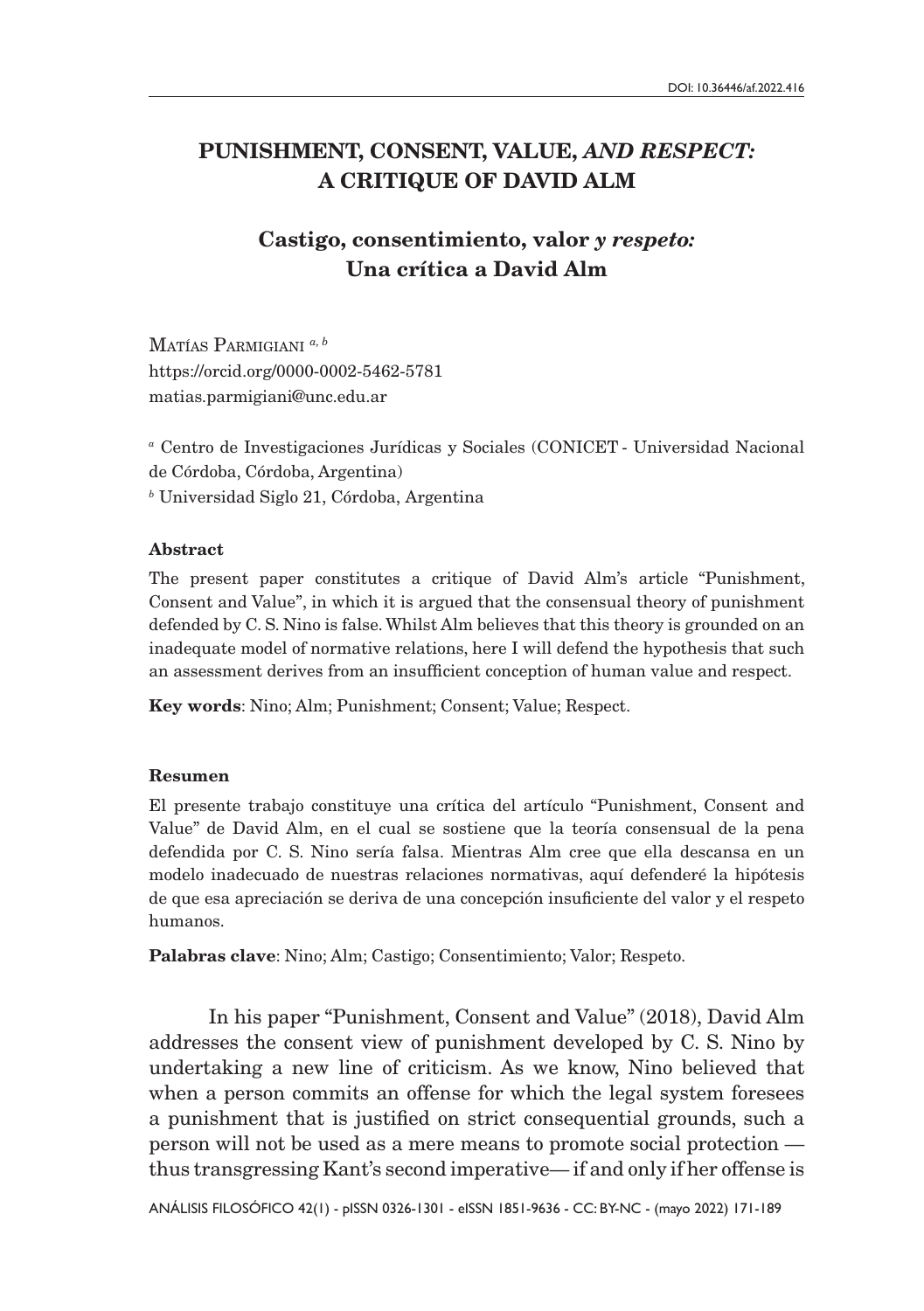# PUNISHMENT, CONSENT, VALUE, *AND RESPECT:* A CRITIQUE OF DAVID ALM

# Castigo, consentimiento, valor *y respeto:* Una crítica a David Alm

Matías Parmigiani *a, b* <https://orcid.org/0000-0002-5462-5781> [matias.parmigiani@unc.edu.ar](mailto:matias.parmigiani%40unc.edu.ar?subject=)

*<sup>a</sup>* Centro de Investigaciones Jurídicas y Sociales (CONICET - Universidad Nacional de Córdoba, Córdoba, Argentina) *b* Universidad Siglo 21, Córdoba, Argentina

#### Abstract

The present paper constitutes a critique of David Alm's article "Punishment, Consent and Value", in which it is argued that the consensual theory of punishment defended by C. S. Nino is false. Whilst Alm believes that this theory is grounded on an inadequate model of normative relations, here I will defend the hypothesis that such an assessment derives from an insufficient conception of human value and respect.

Key words: Nino; Alm; Punishment; Consent; Value; Respect.

### Resumen

El presente trabajo constituye una crítica del artículo "Punishment, Consent and Value" de David Alm, en el cual se sostiene que la teoría consensual de la pena defendida por C. S. Nino sería falsa. Mientras Alm cree que ella descansa en un modelo inadecuado de nuestras relaciones normativas, aquí defenderé la hipótesis de que esa apreciación se deriva de una concepción insuficiente del valor y el respeto humanos.

Palabras clave: Nino; Alm; Castigo; Consentimiento; Valor; Respeto.

In his paper "Punishment, Consent and Value" (2018), David Alm addresses the consent view of punishment developed by C. S. Nino by undertaking a new line of criticism. As we know, Nino believed that when a person commits an offense for which the legal system foresees a punishment that is justified on strict consequential grounds, such a person will not be used as a mere means to promote social protection thus transgressing Kant's second imperative— if and only if her offense is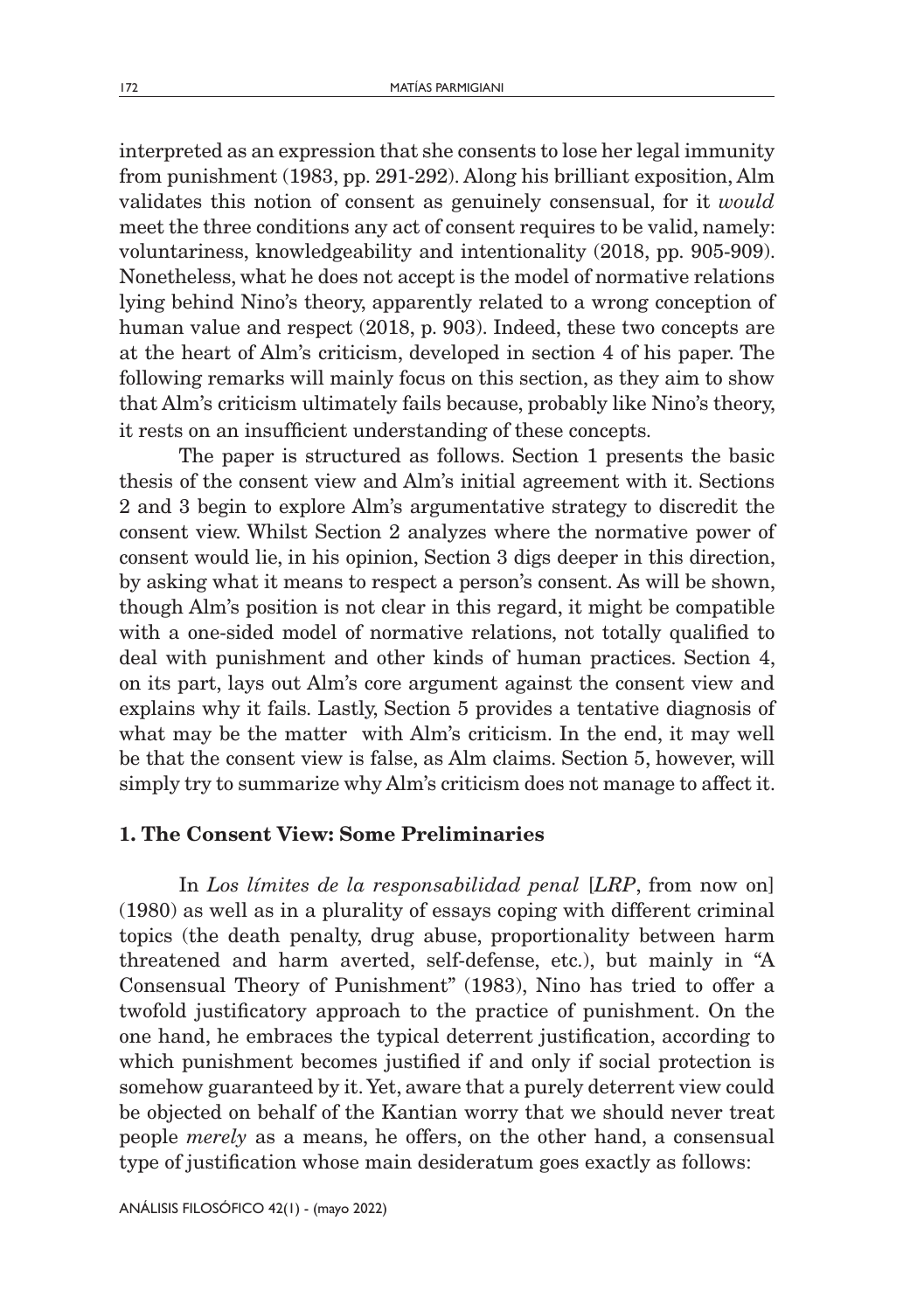interpreted as an expression that she consents to lose her legal immunity from punishment (1983, pp. 291-292). Along his brilliant exposition, Alm validates this notion of consent as genuinely consensual, for it *would* meet the three conditions any act of consent requires to be valid, namely: voluntariness, knowledgeability and intentionality (2018, pp. 905-909). Nonetheless, what he does not accept is the model of normative relations lying behind Nino's theory, apparently related to a wrong conception of human value and respect (2018, p. 903). Indeed, these two concepts are at the heart of Alm's criticism, developed in section 4 of his paper. The following remarks will mainly focus on this section, as they aim to show that Alm's criticism ultimately fails because, probably like Nino's theory, it rests on an insufficient understanding of these concepts.

The paper is structured as follows. Section 1 presents the basic thesis of the consent view and Alm's initial agreement with it. Sections 2 and 3 begin to explore Alm's argumentative strategy to discredit the consent view. Whilst Section 2 analyzes where the normative power of consent would lie, in his opinion, Section 3 digs deeper in this direction, by asking what it means to respect a person's consent. As will be shown, though Alm's position is not clear in this regard, it might be compatible with a one-sided model of normative relations, not totally qualified to deal with punishment and other kinds of human practices. Section 4, on its part, lays out Alm's core argument against the consent view and explains why it fails. Lastly, Section 5 provides a tentative diagnosis of what may be the matter with Alm's criticism. In the end, it may well be that the consent view is false, as Alm claims. Section 5, however, will simply try to summarize why Alm's criticism does not manage to affect it.

### 1. The Consent View: Some Preliminaries

In *Los límites de la responsabilidad penal* [*LRP*, from now on] (1980) as well as in a plurality of essays coping with different criminal topics (the death penalty, drug abuse, proportionality between harm threatened and harm averted, self-defense, etc.), but mainly in "A Consensual Theory of Punishment" (1983), Nino has tried to offer a twofold justificatory approach to the practice of punishment. On the one hand, he embraces the typical deterrent justification, according to which punishment becomes justified if and only if social protection is somehow guaranteed by it. Yet, aware that a purely deterrent view could be objected on behalf of the Kantian worry that we should never treat people *merely* as a means, he offers, on the other hand, a consensual type of justification whose main desideratum goes exactly as follows: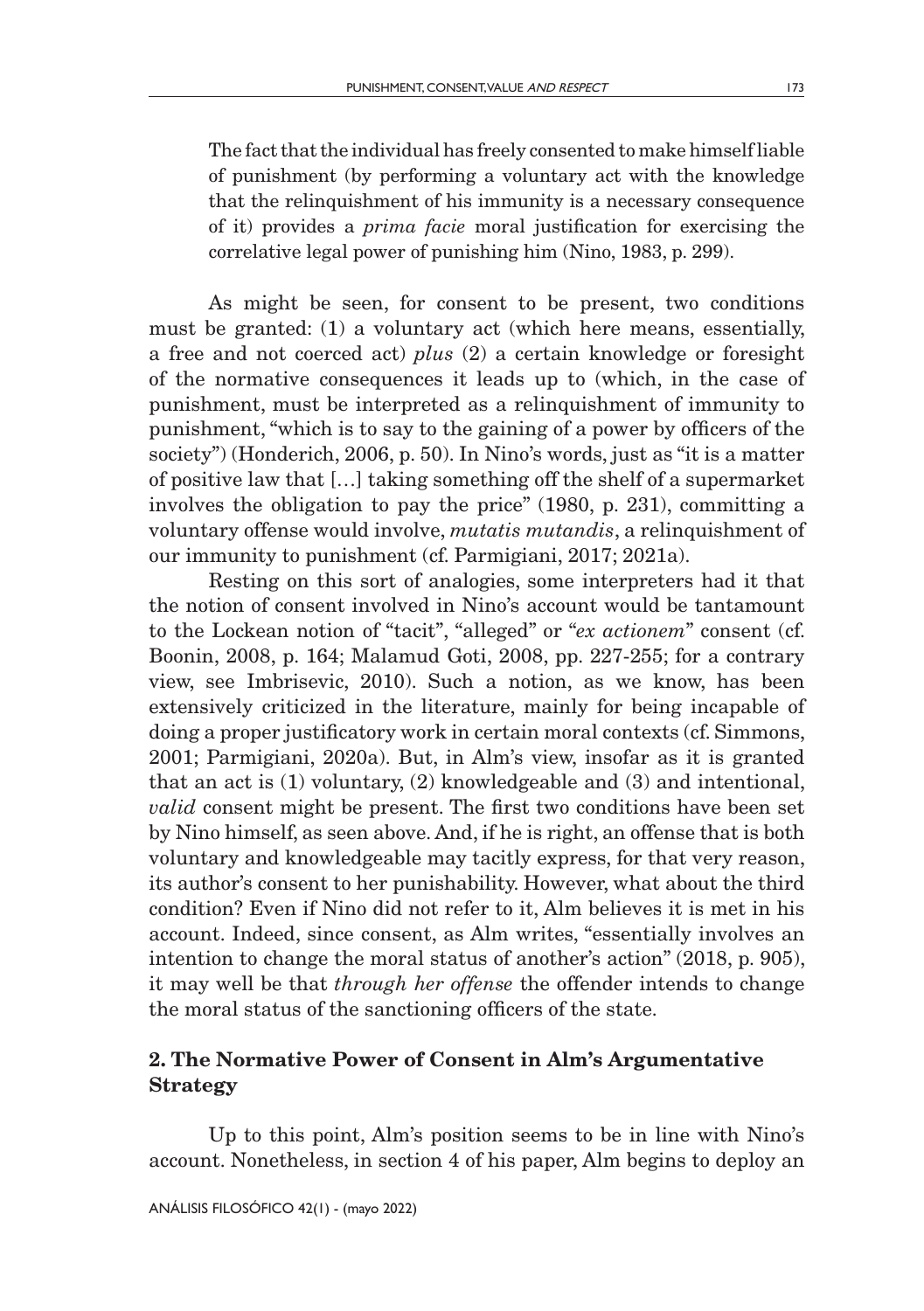As might be seen, for consent to be present, two conditions must be granted: (1) a voluntary act (which here means, essentially, a free and not coerced act) *plus* (2) a certain knowledge or foresight of the normative consequences it leads up to (which, in the case of punishment, must be interpreted as a relinquishment of immunity to punishment, "which is to say to the gaining of a power by officers of the society") (Honderich, 2006, p. 50). In Nino's words, just as "it is a matter of positive law that […] taking something off the shelf of a supermarket involves the obligation to pay the price" (1980, p. 231), committing a voluntary offense would involve, *mutatis mutandis*, a relinquishment of our immunity to punishment (cf. Parmigiani, 2017; 2021a).

Resting on this sort of analogies, some interpreters had it that the notion of consent involved in Nino's account would be tantamount to the Lockean notion of "tacit", "alleged" or "*ex actionem*" consent (cf. Boonin, 2008, p. 164; Malamud Goti, 2008, pp. 227-255; for a contrary view, see Imbrisevic, 2010). Such a notion, as we know, has been extensively criticized in the literature, mainly for being incapable of doing a proper justificatory work in certain moral contexts (cf. Simmons, 2001; Parmigiani, 2020a). But, in Alm's view, insofar as it is granted that an act is (1) voluntary, (2) knowledgeable and (3) and intentional, *valid* consent might be present. The first two conditions have been set by Nino himself, as seen above. And, if he is right, an offense that is both voluntary and knowledgeable may tacitly express, for that very reason, its author's consent to her punishability. However, what about the third condition? Even if Nino did not refer to it, Alm believes it is met in his account. Indeed, since consent, as Alm writes, "essentially involves an intention to change the moral status of another's action" (2018, p. 905), it may well be that *through her offense* the offender intends to change the moral status of the sanctioning officers of the state.

## 2. The Normative Power of Consent in Alm's Argumentative Strategy

Up to this point, Alm's position seems to be in line with Nino's account. Nonetheless, in section 4 of his paper, Alm begins to deploy an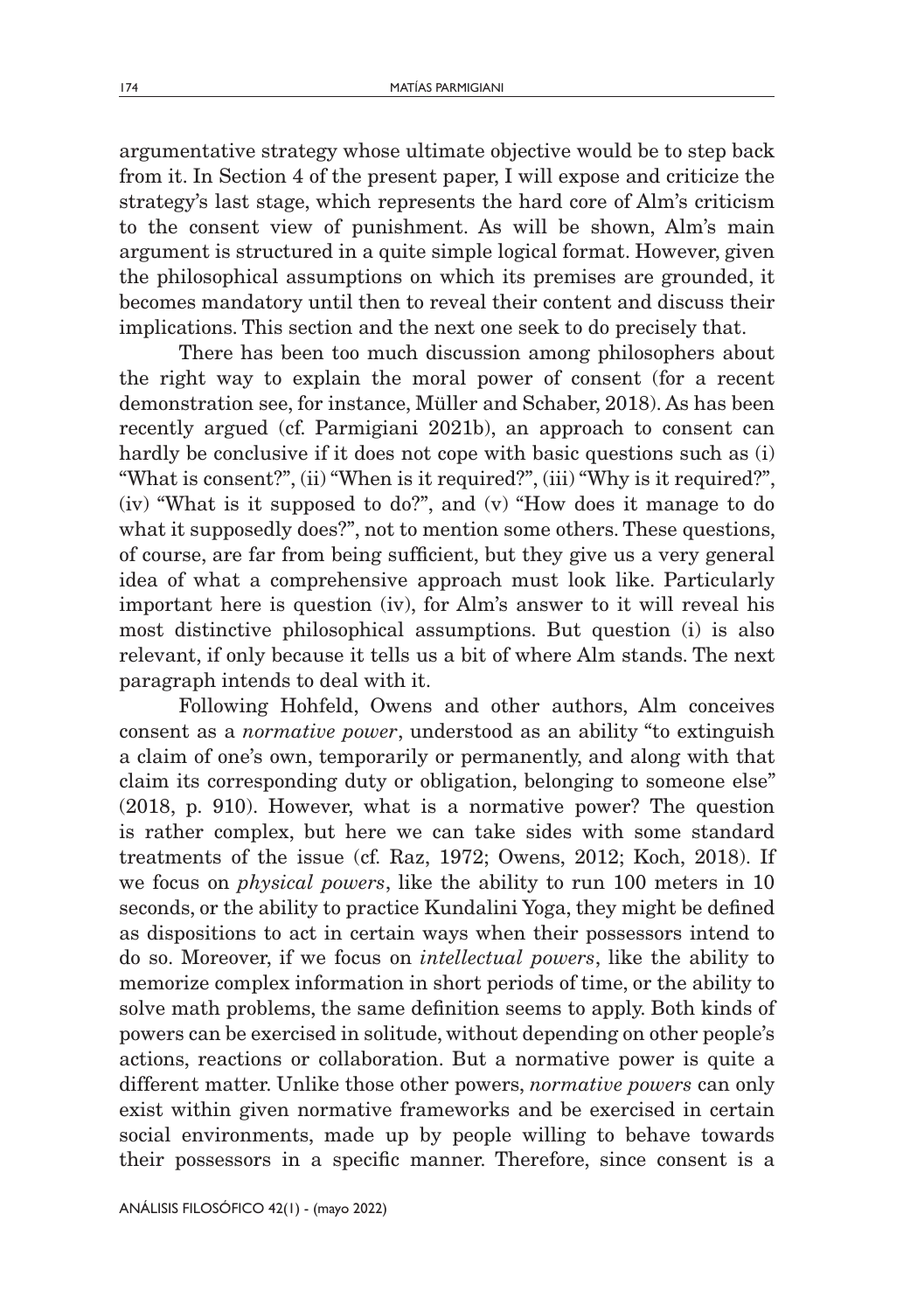argumentative strategy whose ultimate objective would be to step back from it. In Section 4 of the present paper, I will expose and criticize the strategy's last stage, which represents the hard core of Alm's criticism to the consent view of punishment. As will be shown, Alm's main argument is structured in a quite simple logical format. However, given the philosophical assumptions on which its premises are grounded, it becomes mandatory until then to reveal their content and discuss their implications. This section and the next one seek to do precisely that.

There has been too much discussion among philosophers about the right way to explain the moral power of consent (for a recent demonstration see, for instance, Müller and Schaber, 2018). As has been recently argued (cf. Parmigiani 2021b), an approach to consent can hardly be conclusive if it does not cope with basic questions such as (i) "What is consent?", (ii) "When is it required?", (iii) "Why is it required?", (iv) "What is it supposed to do?", and (v) "How does it manage to do what it supposedly does?", not to mention some others. These questions, of course, are far from being sufficient, but they give us a very general idea of what a comprehensive approach must look like. Particularly important here is question (iv), for Alm's answer to it will reveal his most distinctive philosophical assumptions. But question (i) is also relevant, if only because it tells us a bit of where Alm stands. The next paragraph intends to deal with it.

Following Hohfeld, Owens and other authors, Alm conceives consent as a *normative power*, understood as an ability "to extinguish a claim of one's own, temporarily or permanently, and along with that claim its corresponding duty or obligation, belonging to someone else" (2018, p. 910). However, what is a normative power? The question is rather complex, but here we can take sides with some standard treatments of the issue (cf. Raz, 1972; Owens, 2012; Koch, 2018). If we focus on *physical powers*, like the ability to run 100 meters in 10 seconds, or the ability to practice Kundalini Yoga, they might be defined as dispositions to act in certain ways when their possessors intend to do so. Moreover, if we focus on *intellectual powers*, like the ability to memorize complex information in short periods of time, or the ability to solve math problems, the same definition seems to apply. Both kinds of powers can be exercised in solitude, without depending on other people's actions, reactions or collaboration. But a normative power is quite a different matter. Unlike those other powers, *normative powers* can only exist within given normative frameworks and be exercised in certain social environments, made up by people willing to behave towards their possessors in a specific manner. Therefore, since consent is a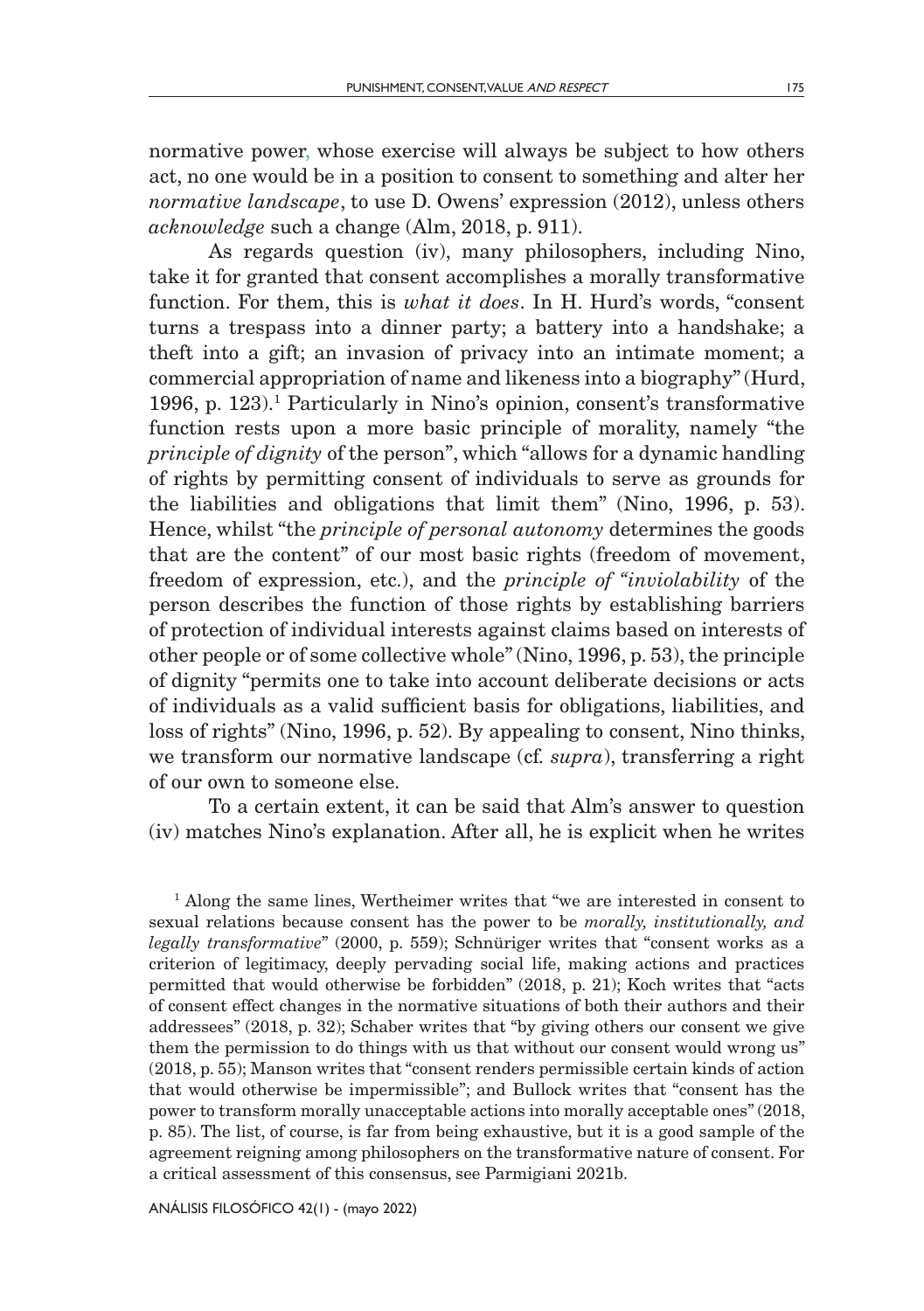normative power, whose exercise will always be subject to how others act, no one would be in a position to consent to something and alter her *normative landscape*, to use D. Owens' expression (2012), unless others *acknowledge* such a change (Alm, 2018, p. 911).

As regards question (iv), many philosophers, including Nino, take it for granted that consent accomplishes a morally transformative function. For them, this is *what it does*. In H. Hurd's words, "consent turns a trespass into a dinner party; a battery into a handshake; a theft into a gift; an invasion of privacy into an intimate moment; a commercial appropriation of name and likeness into a biography" (Hurd, 1996, p. 123).1 Particularly in Nino's opinion, consent's transformative function rests upon a more basic principle of morality, namely "the *principle of dignity* of the person", which "allows for a dynamic handling of rights by permitting consent of individuals to serve as grounds for the liabilities and obligations that limit them" (Nino, 1996, p. 53). Hence, whilst "the *principle of personal autonomy* determines the goods that are the content" of our most basic rights (freedom of movement, freedom of expression, etc.), and the *principle of "inviolability* of the person describes the function of those rights by establishing barriers of protection of individual interests against claims based on interests of other people or of some collective whole" (Nino, 1996, p. 53), the principle of dignity "permits one to take into account deliberate decisions or acts of individuals as a valid sufficient basis for obligations, liabilities, and loss of rights" (Nino, 1996, p. 52). By appealing to consent, Nino thinks, we transform our normative landscape (cf*. supra*), transferring a right of our own to someone else.

To a certain extent, it can be said that Alm's answer to question (iv) matches Nino's explanation. After all, he is explicit when he writes

<sup>1</sup> Along the same lines, Wertheimer writes that "we are interested in consent to sexual relations because consent has the power to be *morally, institutionally, and legally transformative*" (2000, p. 559); Schnüriger writes that "consent works as a criterion of legitimacy, deeply pervading social life, making actions and practices permitted that would otherwise be forbidden" (2018, p. 21); Koch writes that "acts of consent effect changes in the normative situations of both their authors and their addressees" (2018, p. 32); Schaber writes that "by giving others our consent we give them the permission to do things with us that without our consent would wrong us" (2018, p. 55); Manson writes that "consent renders permissible certain kinds of action that would otherwise be impermissible"; and Bullock writes that "consent has the power to transform morally unacceptable actions into morally acceptable ones" (2018, p. 85). The list, of course, is far from being exhaustive, but it is a good sample of the agreement reigning among philosophers on the transformative nature of consent. For a critical assessment of this consensus, see Parmigiani 2021b.

ANÁLISIS FILOSÓFICO 42(1) - (mayo 2022)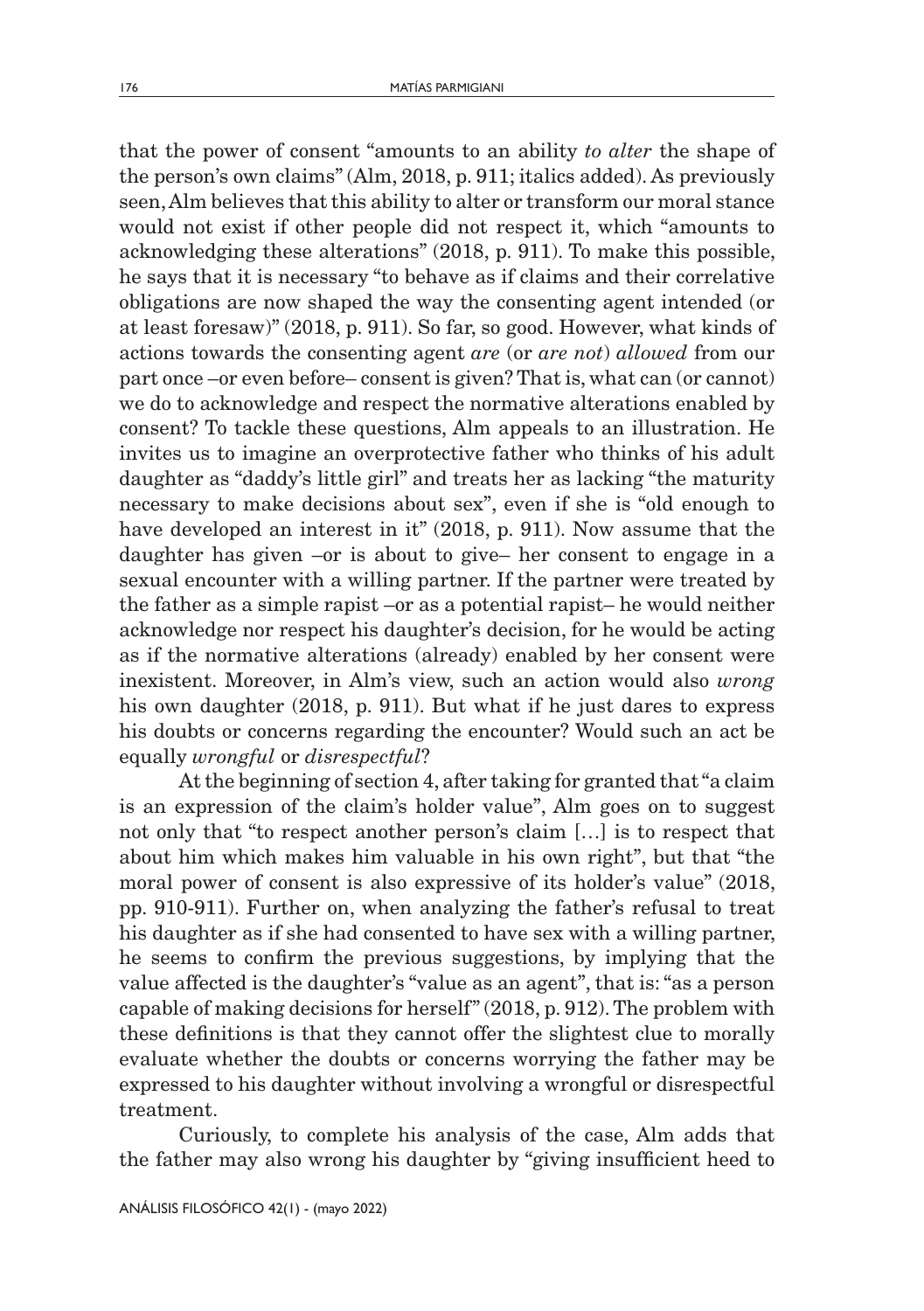that the power of consent "amounts to an ability *to alter* the shape of the person's own claims" (Alm, 2018, p. 911; italics added). As previously seen, Alm believes that this ability to alter or transform our moral stance would not exist if other people did not respect it, which "amounts to acknowledging these alterations" (2018, p. 911). To make this possible, he says that it is necessary "to behave as if claims and their correlative obligations are now shaped the way the consenting agent intended (or at least foresaw)" (2018, p. 911). So far, so good. However, what kinds of actions towards the consenting agent *are* (or *are not*) *allowed* from our part once –or even before– consent is given? That is, what can (or cannot) we do to acknowledge and respect the normative alterations enabled by consent? To tackle these questions, Alm appeals to an illustration. He invites us to imagine an overprotective father who thinks of his adult daughter as "daddy's little girl" and treats her as lacking "the maturity necessary to make decisions about sex", even if she is "old enough to have developed an interest in it" (2018, p. 911). Now assume that the daughter has given –or is about to give– her consent to engage in a sexual encounter with a willing partner. If the partner were treated by the father as a simple rapist –or as a potential rapist– he would neither acknowledge nor respect his daughter's decision, for he would be acting as if the normative alterations (already) enabled by her consent were inexistent. Moreover, in Alm's view, such an action would also *wrong* his own daughter (2018, p. 911). But what if he just dares to express his doubts or concerns regarding the encounter? Would such an act be equally *wrongful* or *disrespectful*?

At the beginning of section 4, after taking for granted that "a claim is an expression of the claim's holder value", Alm goes on to suggest not only that "to respect another person's claim […] is to respect that about him which makes him valuable in his own right", but that "the moral power of consent is also expressive of its holder's value" (2018, pp. 910-911). Further on, when analyzing the father's refusal to treat his daughter as if she had consented to have sex with a willing partner, he seems to confirm the previous suggestions, by implying that the value affected is the daughter's "value as an agent", that is: "as a person capable of making decisions for herself" (2018, p. 912). The problem with these definitions is that they cannot offer the slightest clue to morally evaluate whether the doubts or concerns worrying the father may be expressed to his daughter without involving a wrongful or disrespectful treatment.

Curiously, to complete his analysis of the case, Alm adds that the father may also wrong his daughter by "giving insufficient heed to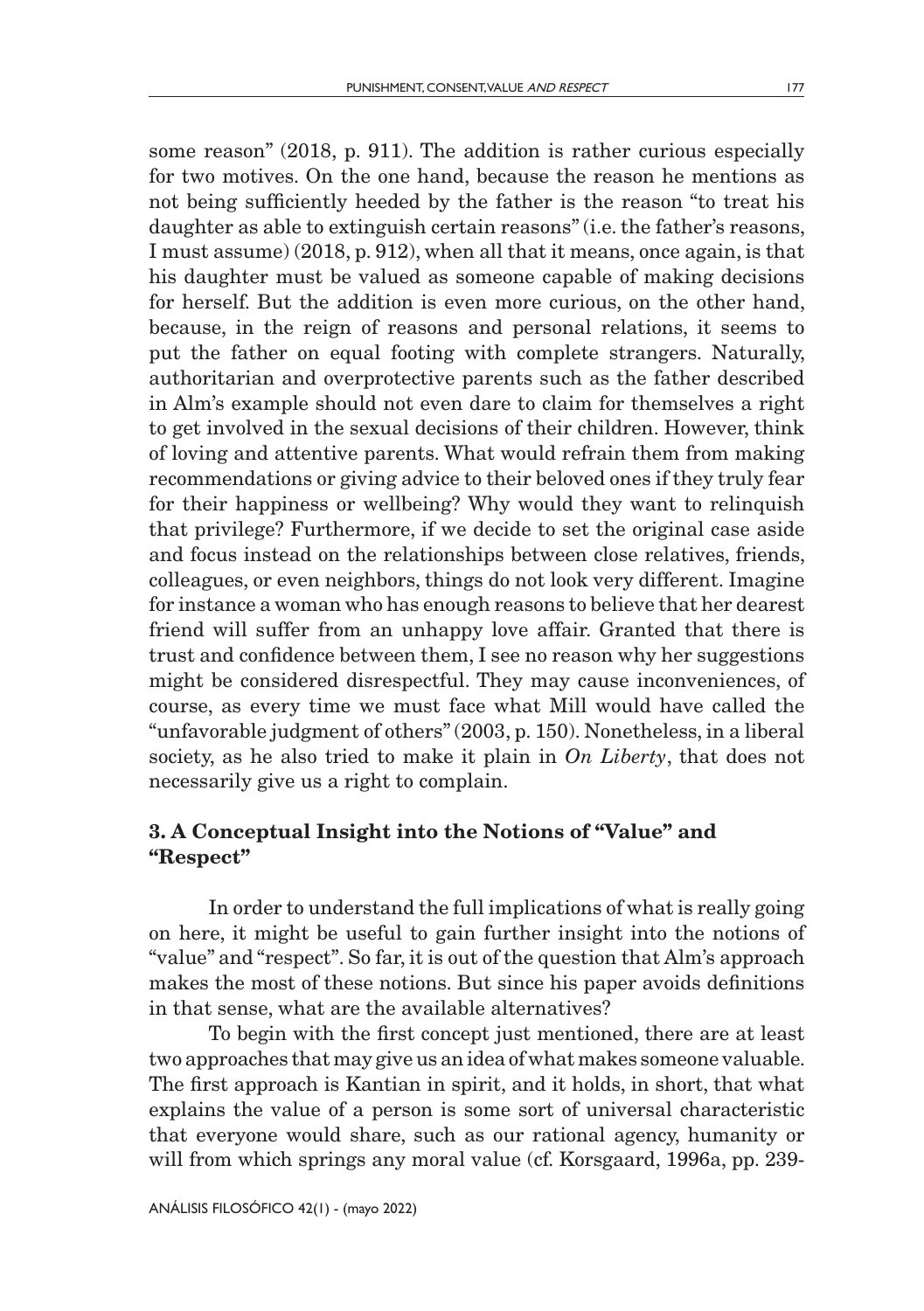some reason" (2018, p. 911). The addition is rather curious especially for two motives. On the one hand, because the reason he mentions as not being sufficiently heeded by the father is the reason "to treat his daughter as able to extinguish certain reasons" (i.e. the father's reasons, I must assume) (2018, p. 912), when all that it means, once again, is that his daughter must be valued as someone capable of making decisions for herself. But the addition is even more curious, on the other hand, because, in the reign of reasons and personal relations, it seems to put the father on equal footing with complete strangers. Naturally, authoritarian and overprotective parents such as the father described in Alm's example should not even dare to claim for themselves a right to get involved in the sexual decisions of their children. However, think of loving and attentive parents. What would refrain them from making recommendations or giving advice to their beloved ones if they truly fear for their happiness or wellbeing? Why would they want to relinquish that privilege? Furthermore, if we decide to set the original case aside and focus instead on the relationships between close relatives, friends, colleagues, or even neighbors, things do not look very different. Imagine for instance a woman who has enough reasons to believe that her dearest friend will suffer from an unhappy love affair. Granted that there is trust and confidence between them, I see no reason why her suggestions might be considered disrespectful. They may cause inconveniences, of course, as every time we must face what Mill would have called the "unfavorable judgment of others" (2003, p. 150). Nonetheless, in a liberal society, as he also tried to make it plain in *On Liberty*, that does not necessarily give us a right to complain.

### 3. A Conceptual Insight into the Notions of "Value" and "Respect"

In order to understand the full implications of what is really going on here, it might be useful to gain further insight into the notions of "value" and "respect". So far, it is out of the question that Alm's approach makes the most of these notions. But since his paper avoids definitions in that sense, what are the available alternatives?

To begin with the first concept just mentioned, there are at least two approaches that may give us an idea of what makes someone valuable. The first approach is Kantian in spirit, and it holds, in short, that what explains the value of a person is some sort of universal characteristic that everyone would share, such as our rational agency, humanity or will from which springs any moral value (cf. Korsgaard, 1996a, pp. 239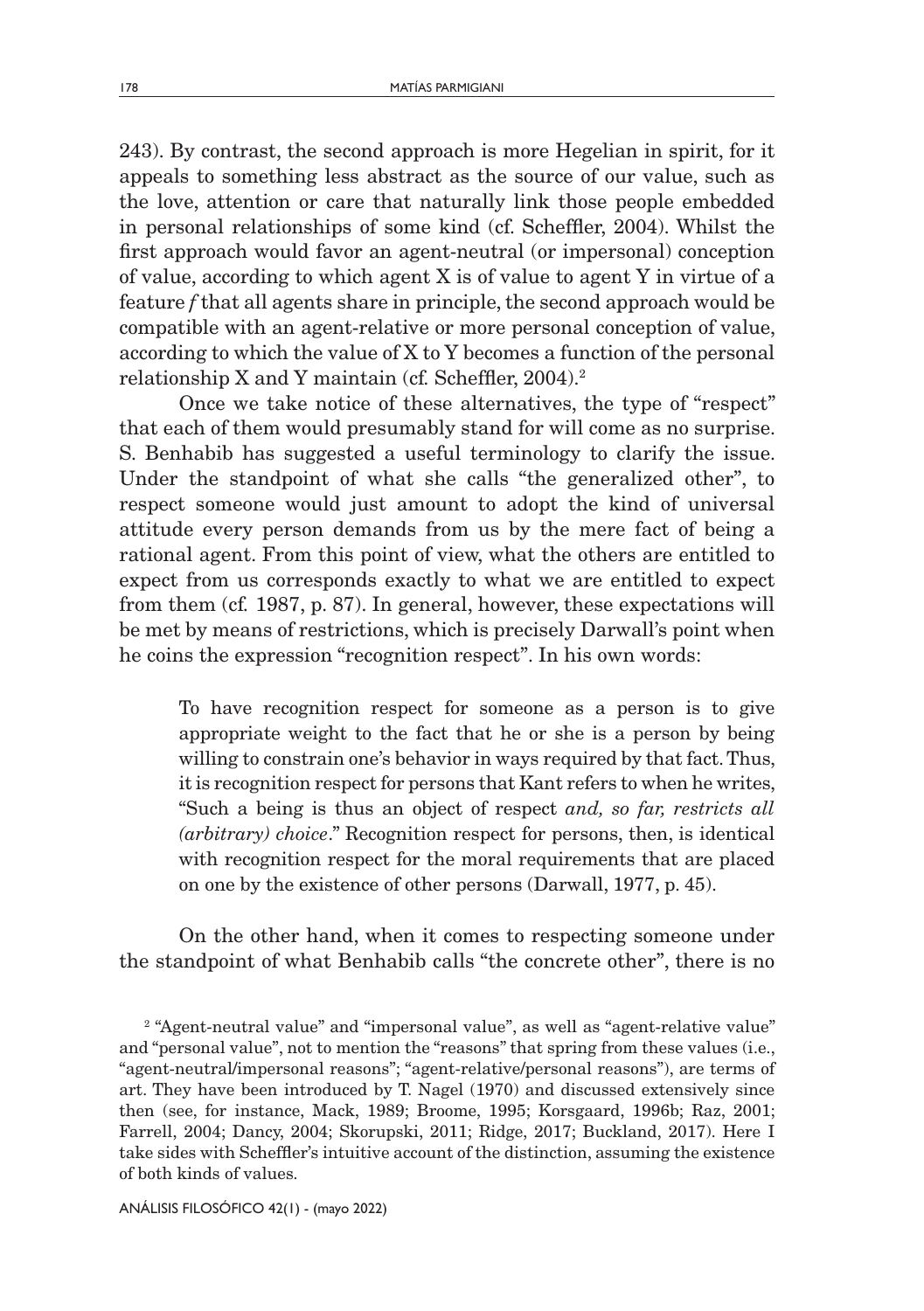243). By contrast, the second approach is more Hegelian in spirit, for it appeals to something less abstract as the source of our value, such as the love, attention or care that naturally link those people embedded in personal relationships of some kind (cf. Scheffler, 2004). Whilst the first approach would favor an agent-neutral (or impersonal) conception of value, according to which agent X is of value to agent Y in virtue of a feature *f* that all agents share in principle, the second approach would be compatible with an agent-relative or more personal conception of value, according to which the value of X to Y becomes a function of the personal relationship X and Y maintain (cf*.* Scheffler, 2004).2

Once we take notice of these alternatives, the type of "respect" that each of them would presumably stand for will come as no surprise. S. Benhabib has suggested a useful terminology to clarify the issue. Under the standpoint of what she calls "the generalized other", to respect someone would just amount to adopt the kind of universal attitude every person demands from us by the mere fact of being a rational agent. From this point of view, what the others are entitled to expect from us corresponds exactly to what we are entitled to expect from them (cf*.* 1987, p. 87). In general, however, these expectations will be met by means of restrictions, which is precisely Darwall's point when he coins the expression "recognition respect". In his own words:

To have recognition respect for someone as a person is to give appropriate weight to the fact that he or she is a person by being willing to constrain one's behavior in ways required by that fact. Thus, it is recognition respect for persons that Kant refers to when he writes, "Such a being is thus an object of respect *and, so far, restricts all (arbitrary) choice*." Recognition respect for persons, then, is identical with recognition respect for the moral requirements that are placed on one by the existence of other persons (Darwall, 1977, p. 45).

On the other hand, when it comes to respecting someone under the standpoint of what Benhabib calls "the concrete other", there is no

<sup>2</sup> "Agent-neutral value" and "impersonal value", as well as "agent-relative value" and "personal value", not to mention the "reasons" that spring from these values (i.e., "agent-neutral/impersonal reasons"; "agent-relative/personal reasons"), are terms of art. They have been introduced by T. Nagel (1970) and discussed extensively since then (see, for instance, Mack, 1989; Broome, 1995; Korsgaard, 1996b; Raz, 2001; Farrell, 2004; Dancy, 2004; Skorupski, 2011; Ridge, 2017; Buckland, 2017). Here I take sides with Scheffler's intuitive account of the distinction, assuming the existence of both kinds of values.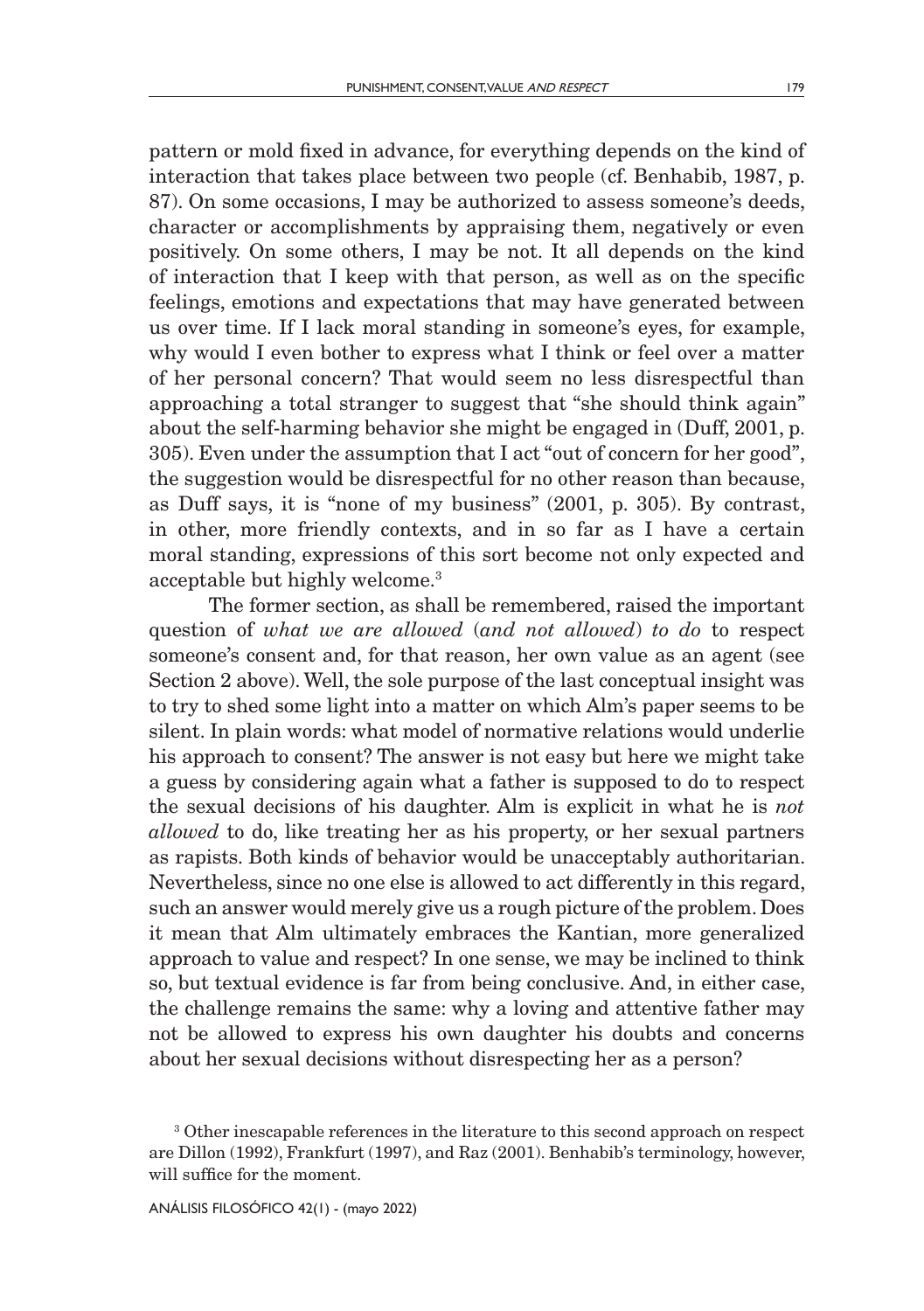pattern or mold fixed in advance, for everything depends on the kind of interaction that takes place between two people (cf. Benhabib, 1987, p. 87). On some occasions, I may be authorized to assess someone's deeds, character or accomplishments by appraising them, negatively or even positively. On some others, I may be not. It all depends on the kind of interaction that I keep with that person, as well as on the specific feelings, emotions and expectations that may have generated between us over time. If I lack moral standing in someone's eyes, for example, why would I even bother to express what I think or feel over a matter of her personal concern? That would seem no less disrespectful than approaching a total stranger to suggest that "she should think again" about the self-harming behavior she might be engaged in (Duff, 2001, p. 305). Even under the assumption that I act "out of concern for her good", the suggestion would be disrespectful for no other reason than because, as Duff says, it is "none of my business" (2001, p. 305). By contrast, in other, more friendly contexts, and in so far as I have a certain moral standing, expressions of this sort become not only expected and acceptable but highly welcome.3

The former section, as shall be remembered, raised the important question of *what we are allowed* (*and not allowed*) *to do* to respect someone's consent and, for that reason, her own value as an agent (see Section 2 above). Well, the sole purpose of the last conceptual insight was to try to shed some light into a matter on which Alm's paper seems to be silent. In plain words: what model of normative relations would underlie his approach to consent? The answer is not easy but here we might take a guess by considering again what a father is supposed to do to respect the sexual decisions of his daughter. Alm is explicit in what he is *not allowed* to do, like treating her as his property, or her sexual partners as rapists. Both kinds of behavior would be unacceptably authoritarian. Nevertheless, since no one else is allowed to act differently in this regard, such an answer would merely give us a rough picture of the problem. Does it mean that Alm ultimately embraces the Kantian, more generalized approach to value and respect? In one sense, we may be inclined to think so, but textual evidence is far from being conclusive. And, in either case, the challenge remains the same: why a loving and attentive father may not be allowed to express his own daughter his doubts and concerns about her sexual decisions without disrespecting her as a person?

<sup>3</sup> Other inescapable references in the literature to this second approach on respect are Dillon (1992), Frankfurt (1997), and Raz (2001). Benhabib's terminology, however, will suffice for the moment.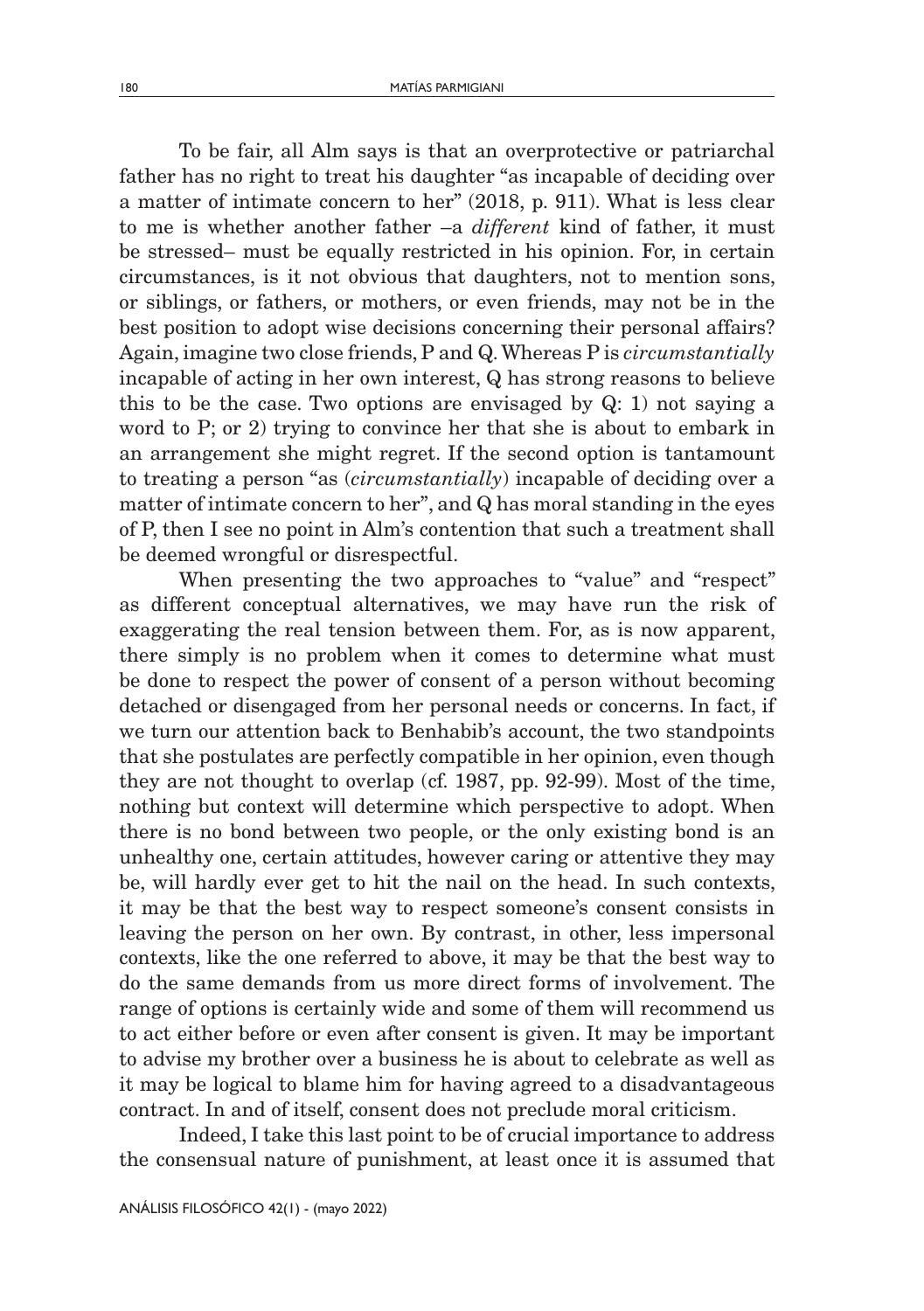To be fair, all Alm says is that an overprotective or patriarchal father has no right to treat his daughter "as incapable of deciding over a matter of intimate concern to her" (2018, p. 911). What is less clear to me is whether another father –a *different* kind of father, it must be stressed– must be equally restricted in his opinion. For, in certain circumstances, is it not obvious that daughters, not to mention sons, or siblings, or fathers, or mothers, or even friends, may not be in the best position to adopt wise decisions concerning their personal affairs? Again, imagine two close friends, P and Q. Whereas P is *circumstantially* incapable of acting in her own interest, Q has strong reasons to believe this to be the case. Two options are envisaged by Q: 1) not saying a word to P; or 2) trying to convince her that she is about to embark in an arrangement she might regret. If the second option is tantamount to treating a person "as (*circumstantially*) incapable of deciding over a matter of intimate concern to her", and Q has moral standing in the eyes of P, then I see no point in Alm's contention that such a treatment shall be deemed wrongful or disrespectful.

When presenting the two approaches to "value" and "respect" as different conceptual alternatives, we may have run the risk of exaggerating the real tension between them. For, as is now apparent, there simply is no problem when it comes to determine what must be done to respect the power of consent of a person without becoming detached or disengaged from her personal needs or concerns. In fact, if we turn our attention back to Benhabib's account, the two standpoints that she postulates are perfectly compatible in her opinion, even though they are not thought to overlap (cf. 1987, pp. 92-99). Most of the time, nothing but context will determine which perspective to adopt. When there is no bond between two people, or the only existing bond is an unhealthy one, certain attitudes, however caring or attentive they may be, will hardly ever get to hit the nail on the head. In such contexts, it may be that the best way to respect someone's consent consists in leaving the person on her own. By contrast, in other, less impersonal contexts, like the one referred to above, it may be that the best way to do the same demands from us more direct forms of involvement. The range of options is certainly wide and some of them will recommend us to act either before or even after consent is given. It may be important to advise my brother over a business he is about to celebrate as well as it may be logical to blame him for having agreed to a disadvantageous contract. In and of itself, consent does not preclude moral criticism.

Indeed, I take this last point to be of crucial importance to address the consensual nature of punishment, at least once it is assumed that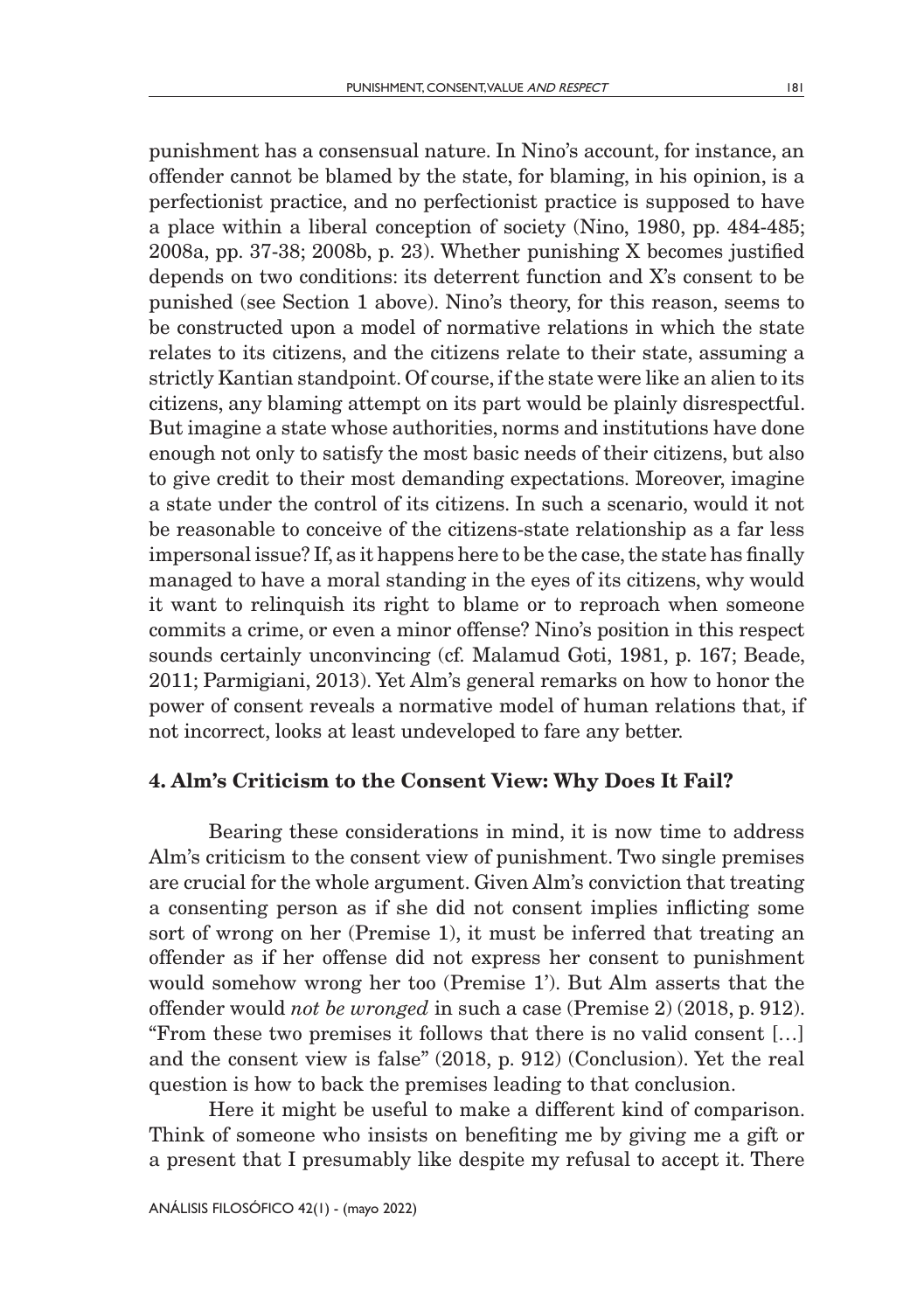punishment has a consensual nature. In Nino's account, for instance, an offender cannot be blamed by the state, for blaming, in his opinion, is a perfectionist practice, and no perfectionist practice is supposed to have a place within a liberal conception of society (Nino, 1980, pp. 484-485; 2008a, pp. 37-38; 2008b, p. 23). Whether punishing X becomes justified depends on two conditions: its deterrent function and X's consent to be punished (see Section 1 above). Nino's theory, for this reason, seems to be constructed upon a model of normative relations in which the state relates to its citizens, and the citizens relate to their state, assuming a strictly Kantian standpoint. Of course, if the state were like an alien to its citizens, any blaming attempt on its part would be plainly disrespectful. But imagine a state whose authorities, norms and institutions have done enough not only to satisfy the most basic needs of their citizens, but also to give credit to their most demanding expectations. Moreover, imagine a state under the control of its citizens. In such a scenario, would it not be reasonable to conceive of the citizens-state relationship as a far less impersonal issue? If, as it happens here to be the case, the state has finally managed to have a moral standing in the eyes of its citizens, why would it want to relinquish its right to blame or to reproach when someone commits a crime, or even a minor offense? Nino's position in this respect sounds certainly unconvincing (cf. Malamud Goti, 1981, p. 167; Beade, 2011; Parmigiani, 2013). Yet Alm's general remarks on how to honor the power of consent reveals a normative model of human relations that, if not incorrect, looks at least undeveloped to fare any better.

### 4. Alm's Criticism to the Consent View: Why Does It Fail?

Bearing these considerations in mind, it is now time to address Alm's criticism to the consent view of punishment. Two single premises are crucial for the whole argument. Given Alm's conviction that treating a consenting person as if she did not consent implies inflicting some sort of wrong on her (Premise 1), it must be inferred that treating an offender as if her offense did not express her consent to punishment would somehow wrong her too (Premise 1'). But Alm asserts that the offender would *not be wronged* in such a case (Premise 2) (2018, p. 912). "From these two premises it follows that there is no valid consent […] and the consent view is false" (2018, p. 912) (Conclusion). Yet the real question is how to back the premises leading to that conclusion.

Here it might be useful to make a different kind of comparison. Think of someone who insists on benefiting me by giving me a gift or a present that I presumably like despite my refusal to accept it. There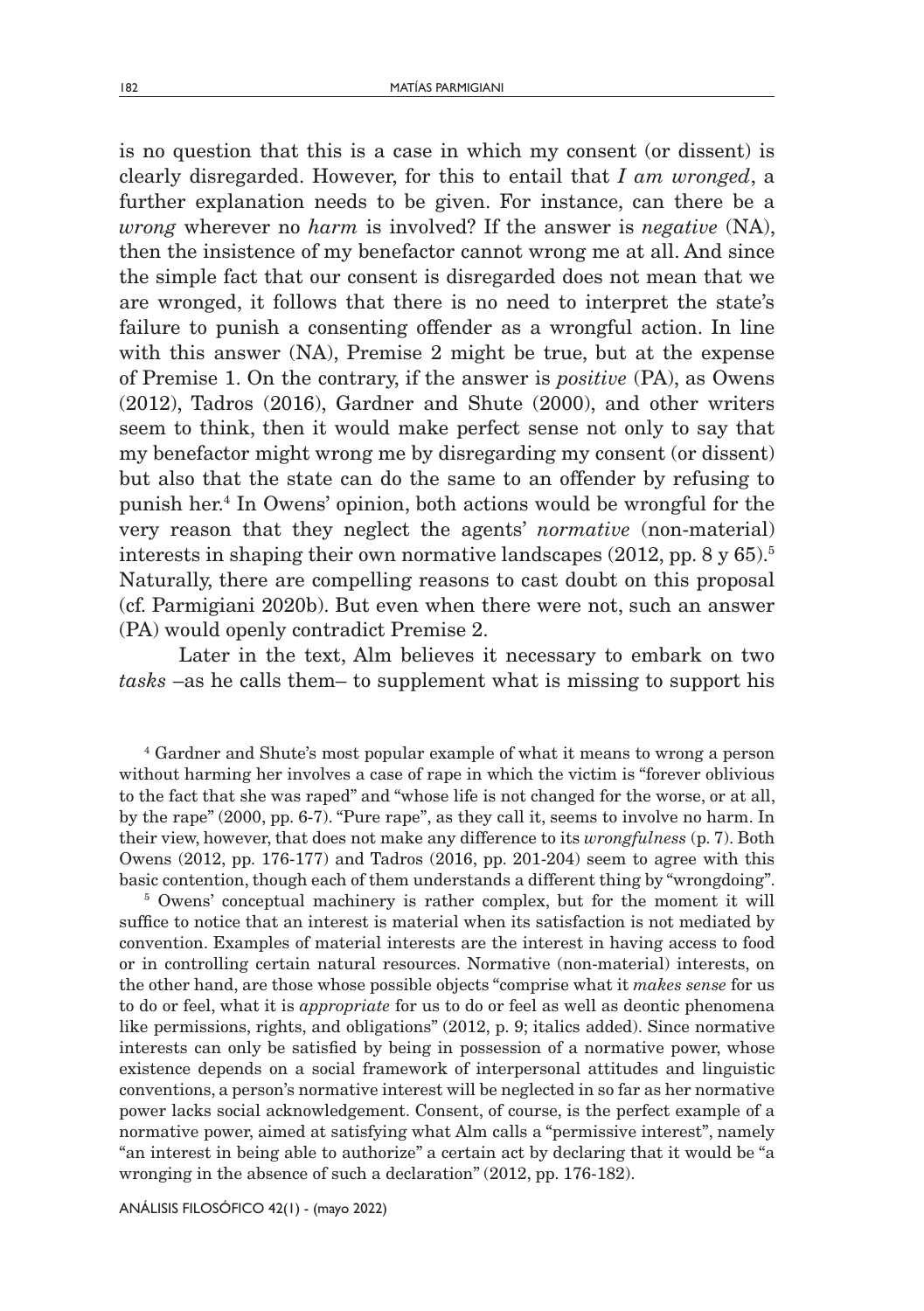is no question that this is a case in which my consent (or dissent) is clearly disregarded. However, for this to entail that *I am wronged*, a further explanation needs to be given. For instance, can there be a *wrong* wherever no *harm* is involved? If the answer is *negative* (NA), then the insistence of my benefactor cannot wrong me at all. And since the simple fact that our consent is disregarded does not mean that we are wronged, it follows that there is no need to interpret the state's failure to punish a consenting offender as a wrongful action. In line with this answer (NA), Premise 2 might be true, but at the expense of Premise 1. On the contrary, if the answer is *positive* (PA), as Owens (2012), Tadros (2016), Gardner and Shute (2000), and other writers seem to think, then it would make perfect sense not only to say that my benefactor might wrong me by disregarding my consent (or dissent) but also that the state can do the same to an offender by refusing to punish her.4 In Owens' opinion, both actions would be wrongful for the very reason that they neglect the agents' *normative* (non-material) interests in shaping their own normative landscapes  $(2012, pp. 8 \text{ y } 65)^{5}$ . Naturally, there are compelling reasons to cast doubt on this proposal (cf. Parmigiani 2020b). But even when there were not, such an answer (PA) would openly contradict Premise 2.

Later in the text, Alm believes it necessary to embark on two *tasks* –as he calls them– to supplement what is missing to support his

4 Gardner and Shute's most popular example of what it means to wrong a person without harming her involves a case of rape in which the victim is "forever oblivious to the fact that she was raped" and "whose life is not changed for the worse, or at all, by the rape" (2000, pp. 6-7). "Pure rape", as they call it, seems to involve no harm. In their view, however, that does not make any difference to its *wrongfulness* (p. 7). Both Owens (2012, pp. 176-177) and Tadros (2016, pp. 201-204) seem to agree with this basic contention, though each of them understands a different thing by "wrongdoing". 5

<sup>5</sup> Owens' conceptual machinery is rather complex, but for the moment it will suffice to notice that an interest is material when its satisfaction is not mediated by convention. Examples of material interests are the interest in having access to food or in controlling certain natural resources. Normative (non-material) interests, on the other hand, are those whose possible objects "comprise what it *makes sense* for us to do or feel, what it is *appropriate* for us to do or feel as well as deontic phenomena like permissions, rights, and obligations" (2012, p. 9; italics added). Since normative interests can only be satisfied by being in possession of a normative power, whose existence depends on a social framework of interpersonal attitudes and linguistic conventions, a person's normative interest will be neglected in so far as her normative power lacks social acknowledgement. Consent, of course, is the perfect example of a normative power, aimed at satisfying what Alm calls a "permissive interest", namely "an interest in being able to authorize" a certain act by declaring that it would be "a wronging in the absence of such a declaration" (2012, pp. 176-182).

ANÁLISIS FILOSÓFICO 42(1) - (mayo 2022)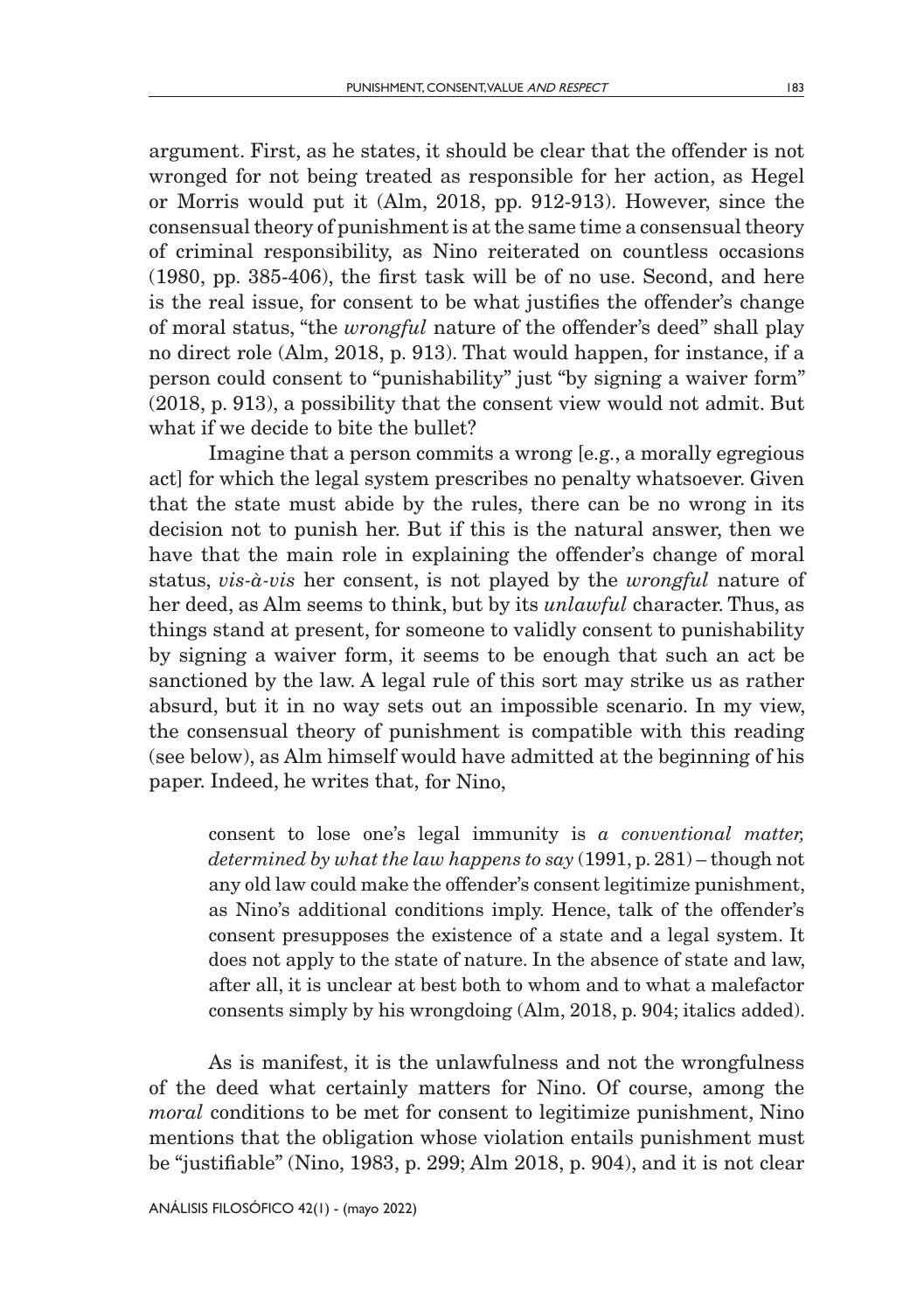argument. First, as he states, it should be clear that the offender is not wronged for not being treated as responsible for her action, as Hegel or Morris would put it (Alm, 2018, pp. 912-913). However, since the consensual theory of punishment is at the same time a consensual theory of criminal responsibility, as Nino reiterated on countless occasions (1980, pp. 385-406), the first task will be of no use. Second, and here is the real issue, for consent to be what justifies the offender's change of moral status, "the *wrongful* nature of the offender's deed" shall play no direct role (Alm, 2018, p. 913). That would happen, for instance, if a person could consent to "punishability" just "by signing a waiver form" (2018, p. 913), a possibility that the consent view would not admit. But what if we decide to bite the bullet?

Imagine that a person commits a wrong [e.g., a morally egregious act] for which the legal system prescribes no penalty whatsoever. Given that the state must abide by the rules, there can be no wrong in its decision not to punish her. But if this is the natural answer, then we have that the main role in explaining the offender's change of moral status, *vis-à-vis* her consent, is not played by the *wrongful* nature of her deed, as Alm seems to think, but by its *unlawful* character. Thus, as things stand at present, for someone to validly consent to punishability by signing a waiver form, it seems to be enough that such an act be sanctioned by the law. A legal rule of this sort may strike us as rather absurd, but it in no way sets out an impossible scenario. In my view, the consensual theory of punishment is compatible with this reading (see below), as Alm himself would have admitted at the beginning of his paper. Indeed, he writes that, for Nino,

consent to lose one's legal immunity is *a conventional matter, determined by what the law happens to say* (1991, p. 281) – though not any old law could make the offender's consent legitimize punishment, as Nino's additional conditions imply. Hence, talk of the offender's consent presupposes the existence of a state and a legal system. It does not apply to the state of nature. In the absence of state and law, after all, it is unclear at best both to whom and to what a malefactor consents simply by his wrongdoing (Alm, 2018, p. 904; italics added).

As is manifest, it is the unlawfulness and not the wrongfulness of the deed what certainly matters for Nino. Of course, among the *moral* conditions to be met for consent to legitimize punishment, Nino mentions that the obligation whose violation entails punishment must be "justifiable" (Nino, 1983, p. 299; Alm 2018, p. 904), and it is not clear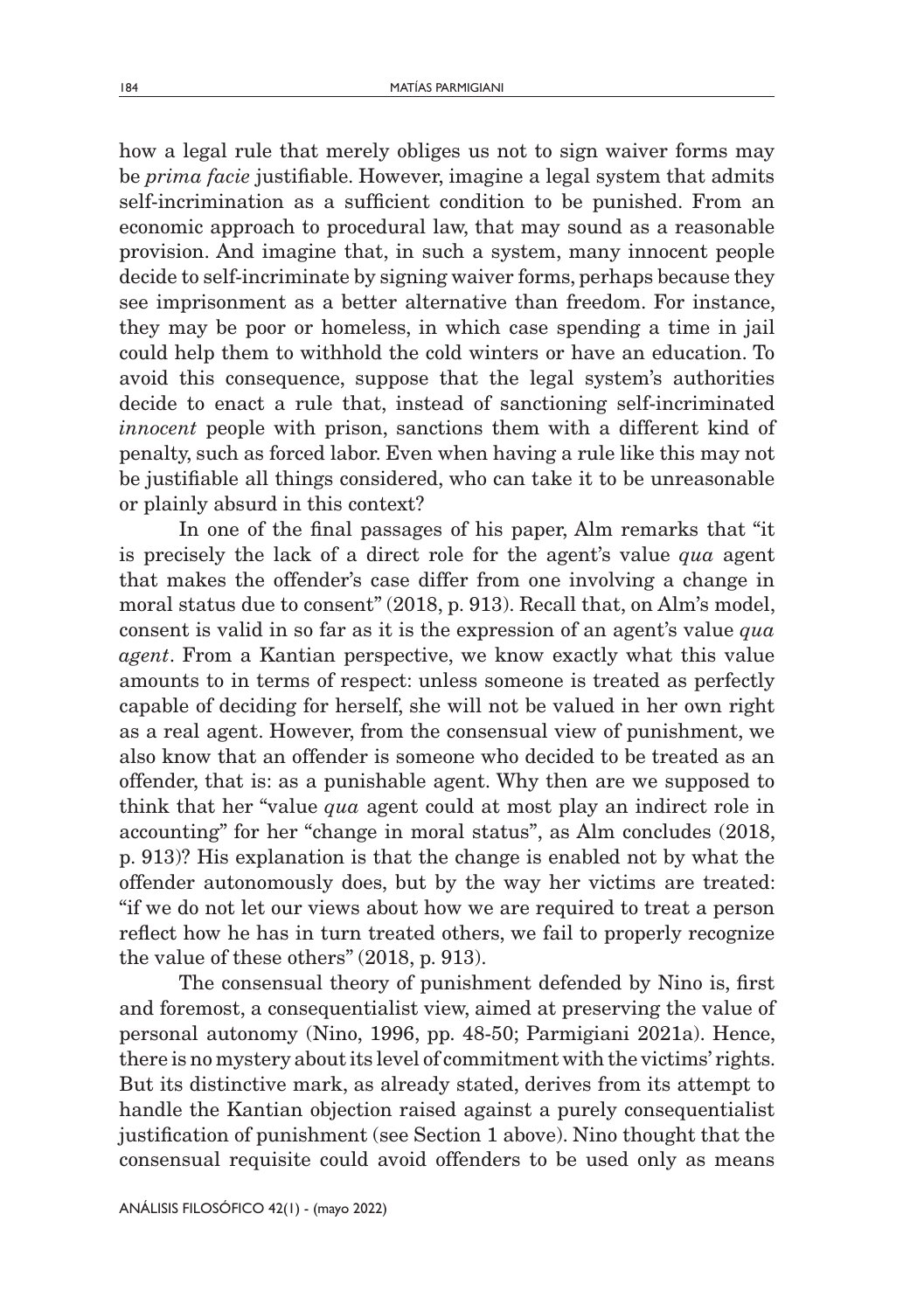how a legal rule that merely obliges us not to sign waiver forms may be *prima facie* justifiable. However, imagine a legal system that admits self-incrimination as a sufficient condition to be punished. From an economic approach to procedural law, that may sound as a reasonable provision. And imagine that, in such a system, many innocent people decide to self-incriminate by signing waiver forms, perhaps because they see imprisonment as a better alternative than freedom. For instance, they may be poor or homeless, in which case spending a time in jail could help them to withhold the cold winters or have an education. To avoid this consequence, suppose that the legal system's authorities decide to enact a rule that, instead of sanctioning self-incriminated *innocent* people with prison, sanctions them with a different kind of penalty, such as forced labor. Even when having a rule like this may not be justifiable all things considered, who can take it to be unreasonable or plainly absurd in this context?

In one of the final passages of his paper, Alm remarks that "it is precisely the lack of a direct role for the agent's value *qua* agent that makes the offender's case differ from one involving a change in moral status due to consent" (2018, p. 913). Recall that, on Alm's model, consent is valid in so far as it is the expression of an agent's value *qua agent*. From a Kantian perspective, we know exactly what this value amounts to in terms of respect: unless someone is treated as perfectly capable of deciding for herself, she will not be valued in her own right as a real agent. However, from the consensual view of punishment, we also know that an offender is someone who decided to be treated as an offender, that is: as a punishable agent. Why then are we supposed to think that her "value *qua* agent could at most play an indirect role in accounting" for her "change in moral status", as Alm concludes (2018, p. 913)? His explanation is that the change is enabled not by what the offender autonomously does, but by the way her victims are treated: "if we do not let our views about how we are required to treat a person reflect how he has in turn treated others, we fail to properly recognize the value of these others" (2018, p. 913).

The consensual theory of punishment defended by Nino is, first and foremost, a consequentialist view, aimed at preserving the value of personal autonomy (Nino, 1996, pp. 48-50; Parmigiani 2021a). Hence, there is no mystery about its level of commitment with the victims' rights. But its distinctive mark, as already stated, derives from its attempt to handle the Kantian objection raised against a purely consequentialist justification of punishment (see Section 1 above). Nino thought that the consensual requisite could avoid offenders to be used only as means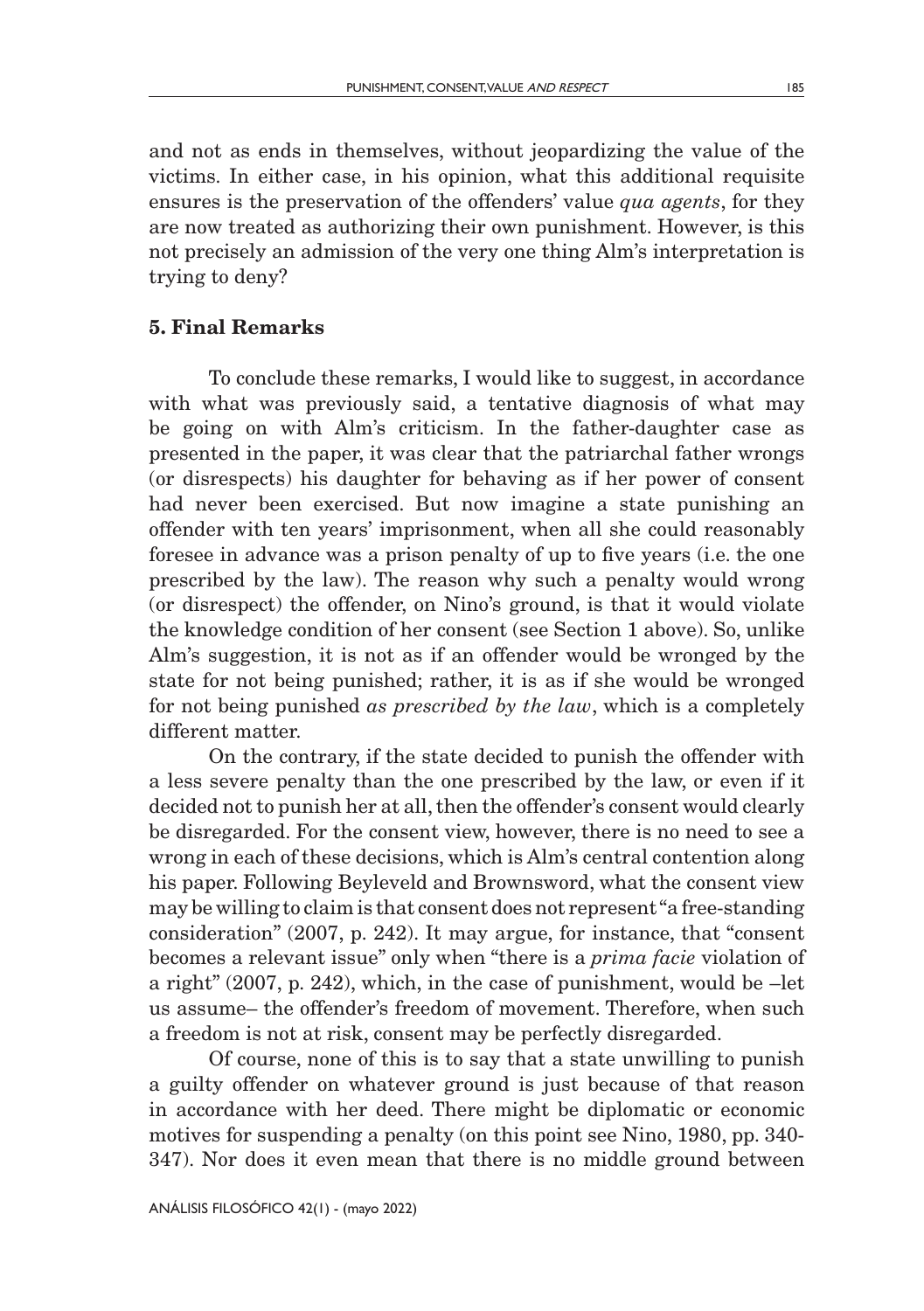and not as ends in themselves, without jeopardizing the value of the victims. In either case, in his opinion, what this additional requisite ensures is the preservation of the offenders' value *qua agents*, for they are now treated as authorizing their own punishment. However, is this not precisely an admission of the very one thing Alm's interpretation is trying to deny?

### 5. Final Remarks

To conclude these remarks, I would like to suggest, in accordance with what was previously said, a tentative diagnosis of what may be going on with Alm's criticism. In the father-daughter case as presented in the paper, it was clear that the patriarchal father wrongs (or disrespects) his daughter for behaving as if her power of consent had never been exercised. But now imagine a state punishing an offender with ten years' imprisonment, when all she could reasonably foresee in advance was a prison penalty of up to five years (i.e. the one prescribed by the law). The reason why such a penalty would wrong (or disrespect) the offender, on Nino's ground, is that it would violate the knowledge condition of her consent (see Section 1 above). So, unlike Alm's suggestion, it is not as if an offender would be wronged by the state for not being punished; rather, it is as if she would be wronged for not being punished *as prescribed by the law*, which is a completely different matter.

On the contrary, if the state decided to punish the offender with a less severe penalty than the one prescribed by the law, or even if it decided not to punish her at all, then the offender's consent would clearly be disregarded. For the consent view, however, there is no need to see a wrong in each of these decisions, which is Alm's central contention along his paper. Following Beyleveld and Brownsword, what the consent view may be willing to claim is that consent does not represent "a free-standing consideration" (2007, p. 242). It may argue, for instance, that "consent becomes a relevant issue" only when "there is a *prima facie* violation of a right" (2007, p. 242), which, in the case of punishment, would be –let us assume– the offender's freedom of movement. Therefore, when such a freedom is not at risk, consent may be perfectly disregarded.

Of course, none of this is to say that a state unwilling to punish a guilty offender on whatever ground is just because of that reason in accordance with her deed. There might be diplomatic or economic motives for suspending a penalty (on this point see Nino, 1980, pp. 340- 347). Nor does it even mean that there is no middle ground between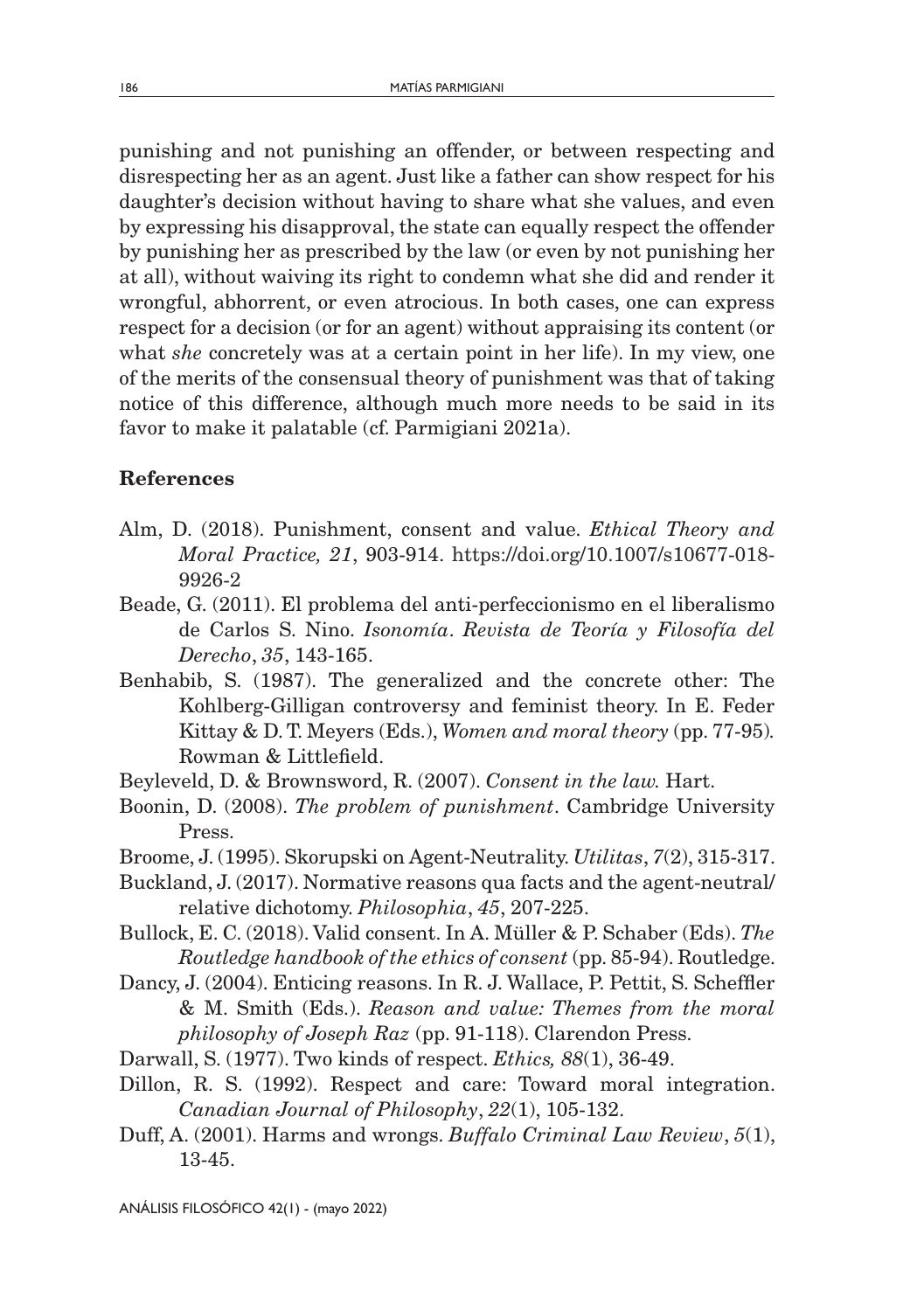punishing and not punishing an offender, or between respecting and disrespecting her as an agent. Just like a father can show respect for his daughter's decision without having to share what she values, and even by expressing his disapproval, the state can equally respect the offender by punishing her as prescribed by the law (or even by not punishing her at all), without waiving its right to condemn what she did and render it wrongful, abhorrent, or even atrocious. In both cases, one can express respect for a decision (or for an agent) without appraising its content (or what *she* concretely was at a certain point in her life). In my view, one of the merits of the consensual theory of punishment was that of taking notice of this difference, although much more needs to be said in its favor to make it palatable (cf. Parmigiani 2021a).

### References

- Alm, D. (2018). Punishment, consent and value. *Ethical Theory and Moral Practice, 21*, 903-914. https://doi.org/10.1007/s10677-018- 9926-2
- Beade, G. (2011). El problema del anti-perfeccionismo en el liberalismo de Carlos S. Nino. *Isonomía*. *Revista de Teoría y Filosofía del Derecho*, *35*, 143-165.
- Benhabib, S. (1987). The generalized and the concrete other: The Kohlberg-Gilligan controversy and feminist theory. In E. Feder Kittay & D. T. Meyers (Eds.), *Women and moral theory* (pp. 77-95)*.*  Rowman & Littlefield.
- Beyleveld, D. & Brownsword, R. (2007). *Consent in the law.* Hart.
- Boonin, D. (2008). *The problem of punishment*. Cambridge University Press.
- Broome, J. (1995). Skorupski on Agent-Neutrality. *Utilitas*, *7*(2), 315-317.
- Buckland, J. (2017). Normative reasons qua facts and the agent-neutral/ relative dichotomy. *Philosophia*, *45*, 207-225.
- Bullock, E. C. (2018). Valid consent. In A. Müller & P. Schaber (Eds). *The Routledge handbook of the ethics of consent* (pp. 85-94). Routledge.
- Dancy, J. (2004). Enticing reasons. In R. J. Wallace, P. Pettit, S. Scheffler & M. Smith (Eds.). *Reason and value: Themes from the moral philosophy of Joseph Raz* (pp. 91-118). Clarendon Press.
- Darwall, S. (1977). Two kinds of respect. *Ethics, 88*(1), 36-49.
- Dillon, R. S. (1992). Respect and care: Toward moral integration. *Canadian Journal of Philosophy*, *22*(1), 105-132.
- Duff, A. (2001). Harms and wrongs. *Buffalo Criminal Law Review*, *5*(1), 13-45.

ANÁLISIS FILOSÓFICO 42(1) - (mayo 2022)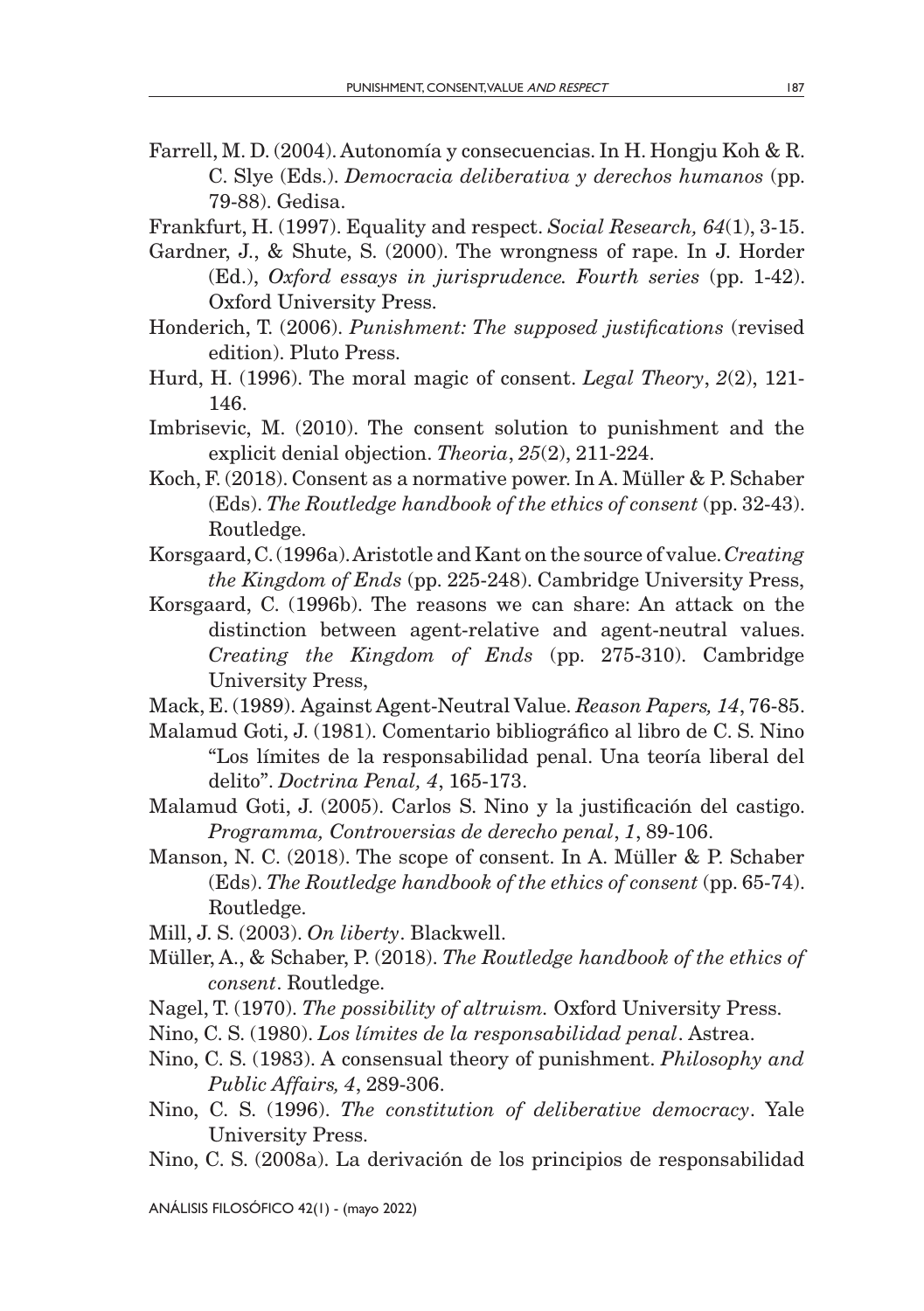- Farrell, M. D. (2004). Autonomía y consecuencias. In H. Hongju Koh & R. C. Slye (Eds.). *Democracia deliberativa y derechos humanos* (pp. 79-88). Gedisa.
- Frankfurt, H. (1997). Equality and respect. *Social Research, 64*(1), 3-15.
- Gardner, J., & Shute, S. (2000). The wrongness of rape. In J. Horder (Ed.), *Oxford essays in jurisprudence. Fourth series* (pp. 1-42). Oxford University Press.
- Honderich, T. (2006). *Punishment: The supposed justifications* (revised edition). Pluto Press.
- Hurd, H. (1996). The moral magic of consent. *Legal Theory*, *2*(2), 121- 146.
- Imbrisevic, M. (2010). The consent solution to punishment and the explicit denial objection. *Theoria*, *25*(2), 211-224.
- Koch, F. (2018). Consent as a normative power. In A. Müller & P. Schaber (Eds). *The Routledge handbook of the ethics of consent* (pp. 32-43). Routledge.
- Korsgaard, C. (1996a). Aristotle and Kant on the source of value. *Creating the Kingdom of Ends* (pp. 225-248). Cambridge University Press,
- Korsgaard, C. (1996b). The reasons we can share: An attack on the distinction between agent-relative and agent-neutral values. *Creating the Kingdom of Ends* (pp. 275-310). Cambridge University Press,
- Mack, E. (1989). Against Agent-Neutral Value. *Reason Papers, 14*, 76-85.
- Malamud Goti, J. (1981). Comentario bibliográfico al libro de C. S. Nino "Los límites de la responsabilidad penal. Una teoría liberal del delito". *Doctrina Penal, 4*, 165-173.
- Malamud Goti, J. (2005). Carlos S. Nino y la justificación del castigo. *Programma, Controversias de derecho penal*, *1*, 89-106.
- Manson, N. C. (2018). The scope of consent. In A. Müller & P. Schaber (Eds). *The Routledge handbook of the ethics of consent* (pp. 65-74). Routledge.
- Mill, J. S. (2003). *On liberty*. Blackwell.
- Müller, A., & Schaber, P. (2018). *The Routledge handbook of the ethics of consent*. Routledge.
- Nagel, T. (1970). *The possibility of altruism.* Oxford University Press.
- Nino, C. S. (1980). *Los límites de la responsabilidad penal*. Astrea.
- Nino, C. S. (1983). A consensual theory of punishment. *Philosophy and Public Affairs, 4*, 289-306.
- Nino, C. S. (1996). *The constitution of deliberative democracy*. Yale University Press.
- Nino, C. S. (2008a). La derivación de los principios de responsabilidad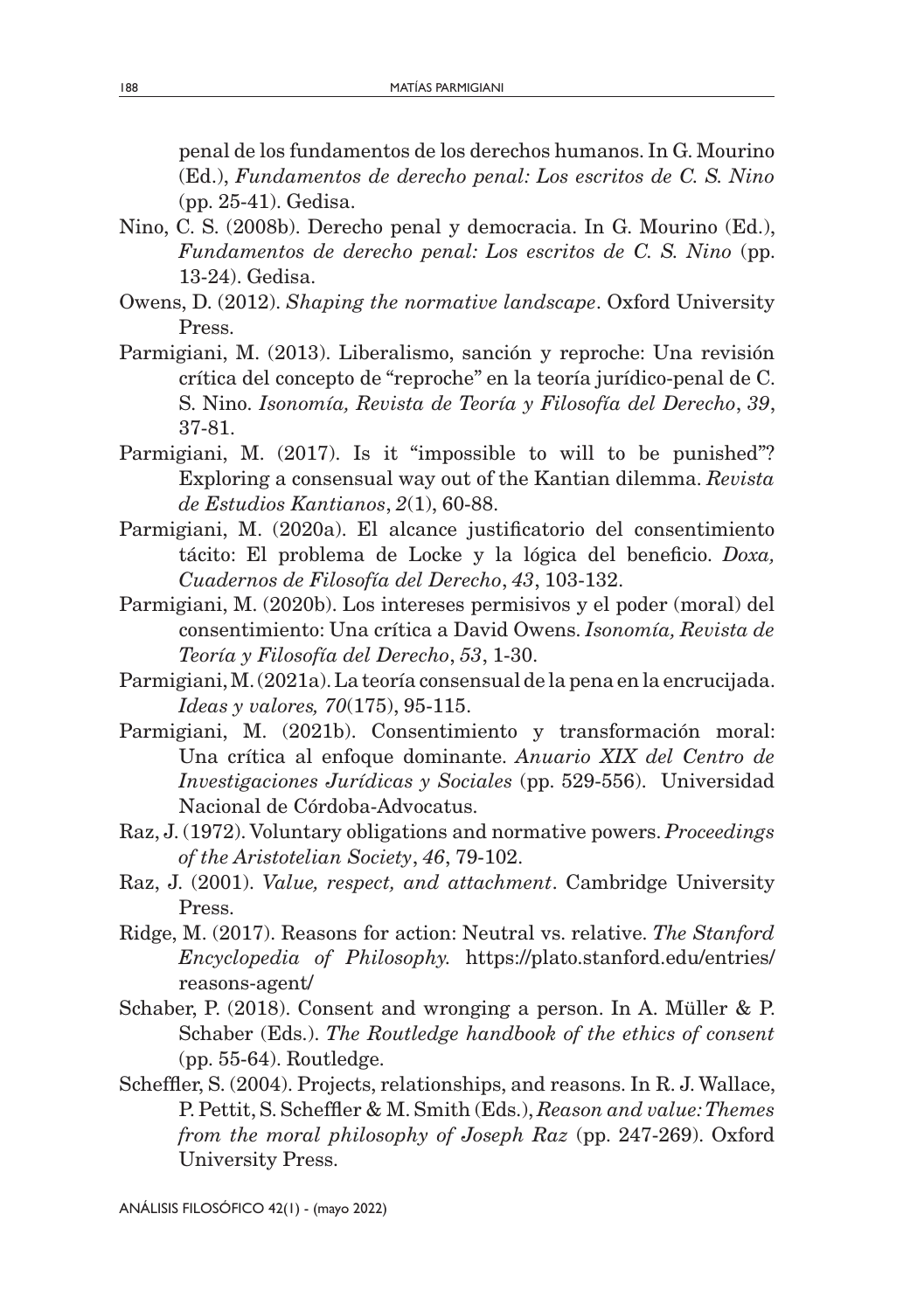penal de los fundamentos de los derechos humanos. In G. Mourino (Ed.), *Fundamentos de derecho penal: Los escritos de C. S. Nino* (pp. 25-41). Gedisa.

- Nino, C. S. (2008b). Derecho penal y democracia. In G. Mourino (Ed.), *Fundamentos de derecho penal: Los escritos de C. S. Nino* (pp. 13-24). Gedisa.
- Owens, D. (2012). *Shaping the normative landscape*. Oxford University Press.
- Parmigiani, M. (2013). Liberalismo, sanción y reproche: Una revisión crítica del concepto de "reproche" en la teoría jurídico-penal de C. S. Nino. *Isonomía, Revista de Teoría y Filosofía del Derecho*, *39*, 37-81.
- Parmigiani, M. (2017). Is it "impossible to will to be punished"? Exploring a consensual way out of the Kantian dilemma. *Revista de Estudios Kantianos*, *2*(1), 60-88.
- Parmigiani, M. (2020a). El alcance justificatorio del consentimiento tácito: El problema de Locke y la lógica del beneficio. *Doxa, Cuadernos de Filosofía del Derecho*, *43*, 103-132.
- Parmigiani, M. (2020b). Los intereses permisivos y el poder (moral) del consentimiento: Una crítica a David Owens. *Isonomía, Revista de Teoría y Filosofía del Derecho*, *53*, 1-30.
- Parmigiani, M. (2021a). La teoría consensual de la pena en la encrucijada. *Ideas y valores, 70*(175), 95-115.
- Parmigiani, M. (2021b). Consentimiento y transformación moral: Una crítica al enfoque dominante. *Anuario XIX del Centro de Investigaciones Jurídicas y Sociales* (pp. 529-556). Universidad Nacional de Córdoba-Advocatus.
- Raz, J. (1972). Voluntary obligations and normative powers. *Proceedings of the Aristotelian Society*, *46*, 79-102.
- Raz, J. (2001). *Value, respect, and attachment*. Cambridge University Press.
- Ridge, M. (2017). Reasons for action: Neutral vs. relative. *The Stanford Encyclopedia of Philosophy.* https://plato.stanford.edu/entries/ reasons-agent/
- Schaber, P. (2018). Consent and wronging a person. In A. Müller & P. Schaber (Eds.). *The Routledge handbook of the ethics of consent* (pp. 55-64). Routledge.
- Scheffler, S. (2004). Projects, relationships, and reasons. In R. J. Wallace, P. Pettit, S. Scheffler & M. Smith (Eds.), *Reason and value: Themes from the moral philosophy of Joseph Raz* (pp. 247-269). Oxford University Press.